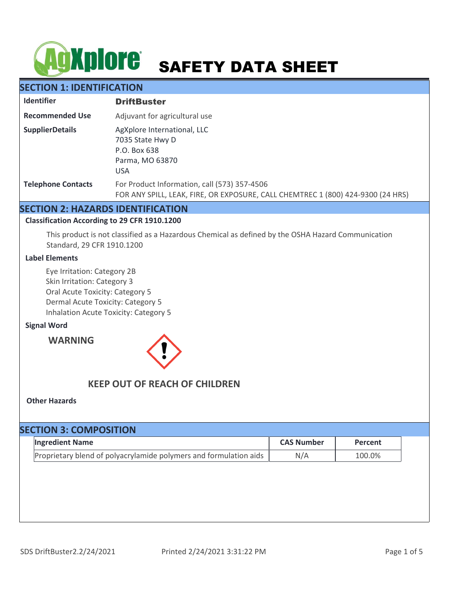# **AgXplore** SAFETY DATA SHEET

# **SECTION 1: IDENTIFICATION**

| <b>Identifier</b>         | <b>DriftBuster</b>                                                                                                              |
|---------------------------|---------------------------------------------------------------------------------------------------------------------------------|
| <b>Recommended Use</b>    | Adjuvant for agricultural use                                                                                                   |
| <b>SupplierDetails</b>    | AgXplore International, LLC<br>7035 State Hwy D<br>P.O. Box 638<br>Parma, MO 63870<br><b>USA</b>                                |
| <b>Telephone Contacts</b> | For Product Information, call (573) 357-4506<br>FOR ANY SPILL, LEAK, FIRE, OR EXPOSURE, CALL CHEMTREC 1 (800) 424-9300 (24 HRS) |

### **SECTION 2: HAZARDS IDENTIFICATION**

### **Classification According to 29 CFR 1910.1200**

This product is not classified as a Hazardous Chemical as defined by the OSHA Hazard Communication Standard, 29 CFR 1910.1200

### **Label Elements**

Eye Irritation: Category 2B Skin Irritation: Category 3 Oral Acute Toxicity: Category 5 Dermal Acute Toxicity: Category 5 Inhalation Acute Toxicity: Category 5

### **Signal Word**

**WARNING**



# **KEEP OUT OF REACH OF CHILDREN**

### **Other Hazards**

| <b>SECTION 3: COMPOSITION</b> |                                                                   |                   |         |  |  |  |
|-------------------------------|-------------------------------------------------------------------|-------------------|---------|--|--|--|
|                               | <b>Ingredient Name</b>                                            | <b>CAS Number</b> | Percent |  |  |  |
|                               | Proprietary blend of polyacrylamide polymers and formulation aids | N/A               | 100.0%  |  |  |  |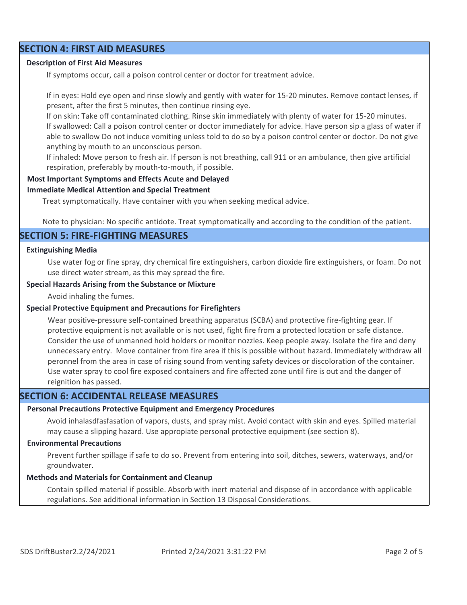### **SECTION 4: FIRST AID MEASURES**

### **Description of First Aid Measures**

If symptoms occur, call a poison control center or doctor for treatment advice.

If in eyes: Hold eye open and rinse slowly and gently with water for 15-20 minutes. Remove contact lenses, if present, after the first 5 minutes, then continue rinsing eye.

If on skin: Take off contaminated clothing. Rinse skin immediately with plenty of water for 15-20 minutes. If swallowed: Call a poison control center or doctor immediately for advice. Have person sip a glass of water if able to swallow Do not induce vomiting unless told to do so by a poison control center or doctor. Do not give anything by mouth to an unconscious person.

If inhaled: Move person to fresh air. If person is not breathing, call 911 or an ambulance, then give artificial respiration, preferably by mouth-to-mouth, if possible.

### **Most Important Symptoms and Effects Acute and Delayed**

#### **Immediate Medical Attention and Special Treatment**

Treat symptomatically. Have container with you when seeking medical advice.

Note to physician: No specific antidote. Treat symptomatically and according to the condition of the patient.

### **SECTION 5: FIRE-FIGHTING MEASURES**

### **Extinguishing Media**

Use water fog or fine spray, dry chemical fire extinguishers, carbon dioxide fire extinguishers, or foam. Do not use direct water stream, as this may spread the fire.

### **Special Hazards Arising from the Substance or Mixture**

Avoid inhaling the fumes.

### **Special Protective Equipment and Precautions for Firefighters**

Wear positive-pressure self-contained breathing apparatus (SCBA) and protective fire-fighting gear. If protective equipment is not available or is not used, fight fire from a protected location or safe distance. Consider the use of unmanned hold holders or monitor nozzles. Keep people away. Isolate the fire and deny unnecessary entry. Move container from fire area if this is possible without hazard. Immediately withdraw all peronnel from the area in case of rising sound from venting safety devices or discoloration of the container. Use water spray to cool fire exposed containers and fire affected zone until fire is out and the danger of reignition has passed.

### **SECTION 6: ACCIDENTAL RELEASE MEASURES**

#### **Personal Precautions Protective Equipment and Emergency Procedures**

Avoid inhalasdfasfasation of vapors, dusts, and spray mist. Avoid contact with skin and eyes. Spilled material may cause a slipping hazard. Use appropiate personal protective equipment (see section 8).

### **Environmental Precautions**

Prevent further spillage if safe to do so. Prevent from entering into soil, ditches, sewers, waterways, and/or groundwater.

### **Methods and Materials for Containment and Cleanup**

Contain spilled material if possible. Absorb with inert material and dispose of in accordance with applicable regulations. See additional information in Section 13 Disposal Considerations.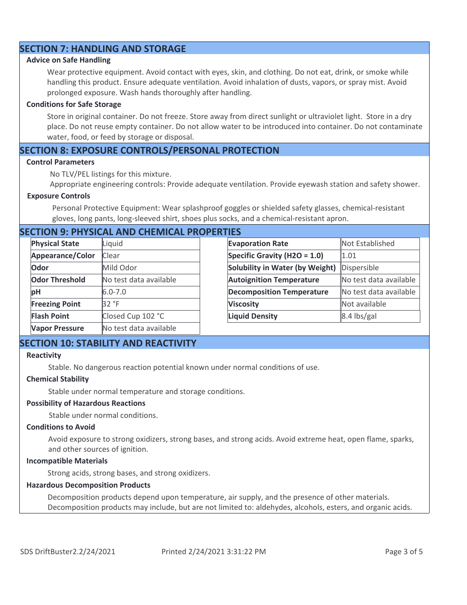# **SECTION 7: HANDLING AND STORAGE**

### **Advice on Safe Handling**

Wear protective equipment. Avoid contact with eyes, skin, and clothing. Do not eat, drink, or smoke while handling this product. Ensure adequate ventilation. Avoid inhalation of dusts, vapors, or spray mist. Avoid prolonged exposure. Wash hands thoroughly after handling.

#### **Conditions for Safe Storage**

Store in original container. Do not freeze. Store away from direct sunlight or ultraviolet light. Store in a dry place. Do not reuse empty container. Do not allow water to be introduced into container. Do not contaminate water, food, or feed by storage or disposal.

### **SECTION 8: EXPOSURE CONTROLS/PERSONAL PROTECTION**

#### **Control Parameters**

No TLV/PEL listings for this mixture.

Appropriate engineering controls: Provide adequate ventilation. Provide eyewash station and safety shower.

#### **Exposure Controls**

Personal Protective Equipment: Wear splashproof goggles or shielded safety glasses, chemical-resistant gloves, long pants, long-sleeved shirt, shoes plus socks, and a chemical-resistant apron.

### **SECTION 9: PHYSICAL AND CHEMICAL PROPERTIES**

| <b>Physical State</b> | Liquid                 | <b>Evaporation Rate</b>          | Not Established        |
|-----------------------|------------------------|----------------------------------|------------------------|
| Appearance/Color      | Clear                  | Specific Gravity (H2O = $1.0$ )  | 1.01                   |
| Odor                  | Mild Odor              | Solubility in Water (by Weight)  | Dispersible            |
| <b>Odor Threshold</b> | No test data available | <b>Autoignition Temperature</b>  | No test data available |
| pH                    | $6.0 - 7.0$            | <b>Decomposition Temperature</b> | No test data available |
| <b>Freezing Point</b> | 32 °F                  | <b>Viscosity</b>                 | Not available          |
| <b>Flash Point</b>    | Closed Cup 102 °C      | <b>Liquid Density</b>            | 8.4 lbs/gal            |
| <b>Vapor Pressure</b> | No test data available |                                  |                        |

### **SECTION 10: STABILITY AND REACTIVITY**

#### **Reactivity**

Stable. No dangerous reaction potential known under normal conditions of use.

### **Chemical Stability**

Stable under normal temperature and storage conditions.

#### **Possibility of Hazardous Reactions**

Stable under normal conditions.

### **Conditions to Avoid**

Avoid exposure to strong oxidizers, strong bases, and strong acids. Avoid extreme heat, open flame, sparks, and other sources of ignition.

### **Incompatible Materials**

Strong acids, strong bases, and strong oxidizers.

#### **Hazardous Decomposition Products**

Decomposition products depend upon temperature, air supply, and the presence of other materials. Decomposition products may include, but are not limited to: aldehydes, alcohols, esters, and organic acids.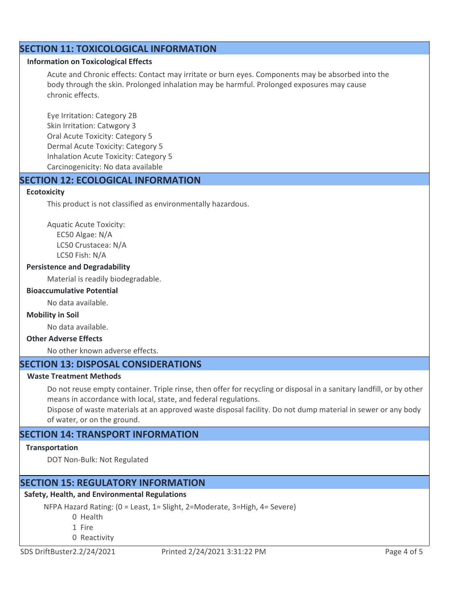# **SECTION 11: TOXICOLOGICAL INFORMATION**

### **Information on Toxicological Effects**

Acute and Chronic effects: Contact may irritate or burn eyes. Components may be absorbed into the body through the skin. Prolonged inhalation may be harmful. Prolonged exposures may cause chronic effects.

Eye Irritation: Category 2B Skin Irritation: Catwgory 3 Oral Acute Toxicity: Category 5 Dermal Acute Toxicity: Category 5 Inhalation Acute Toxicity: Category 5 Carcinogenicity: No data available

### **SECTION 12: ECOLOGICAL INFORMATION**

### **Ecotoxicity**

This product is not classified as environmentally hazardous.

Aquatic Acute Toxicity: EC50 Algae: N/A LC50 Crustacea: N/A

LC50 Fish: N/A

### **Persistence and Degradability**

Material is readily biodegradable.

### **Bioaccumulative Potential**

No data available.

### **Mobility in Soil**

No data available.

# **Other Adverse Effects**

No other known adverse effects.

### **SECTION 13: DISPOSAL CONSIDERATIONS**

### **Waste Treatment Methods**

Do not reuse empty container. Triple rinse, then offer for recycling or disposal in a sanitary landfill, or by other means in accordance with local, state, and federal regulations.

Dispose of waste materials at an approved waste disposal facility. Do not dump material in sewer or any body of water, or on the ground.

# **SECTION 14: TRANSPORT INFORMATION**

### **Transportation**

DOT Non-Bulk: Not Regulated

# **SECTION 15: REGULATORY INFORMATION**

# **Safety, Health, and Environmental Regulations**

NFPA Hazard Rating: (0 = Least, 1= Slight, 2=Moderate, 3=High, 4= Severe)

- 0 Health
- 1 Fire
- 0 Reactivity